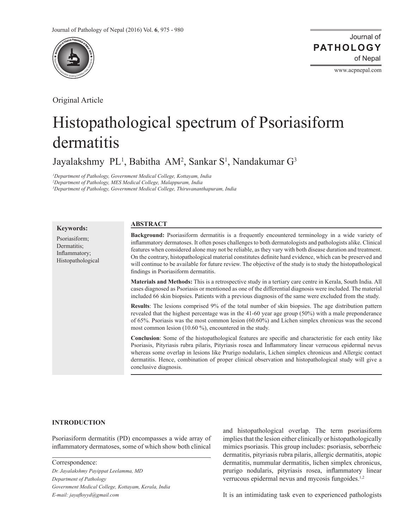

Original Article

Journal of of Nepal **PATHOLOGY**

www.acpnepal.com

# Histopathological spectrum of Psoriasiform dermatitis

Jayalakshmy PL<sup>1</sup>, Babitha AM<sup>2</sup>, Sankar S<sup>1</sup>, Nandakumar G<sup>3</sup>

*1 Department of Pathology, Government Medical College, Kottayam, India 2 Department of Pathology, MES Medical College, Malappuram, India*

*3 Department of Pathology, Government Medical College, Thiruvananthapuram, India*

# **Keywords:**

### **ABSTRACT**

Psoriasiform; Dermatitis; Inflammatory; Histopathological **Background:** Psoriasiform dermatitis is a frequently encountered terminology in a wide variety of inflammatory dermatoses. It often poses challenges to both dermatologists and pathologists alike. Clinical features when considered alone may not be reliable, as they vary with both disease duration and treatment. On the contrary, histopathological material constitutes definite hard evidence, which can be preserved and will continue to be available for future review. The objective of the study is to study the histopathological findings in Psoriasiform dermatitis.

**Materials and Methods:** This is a retrospective study in a tertiary care centre in Kerala, South India. All cases diagnosed as Psoriasis or mentioned as one of the differential diagnosis were included. The material included 66 skin biopsies. Patients with a previous diagnosis of the same were excluded from the study.

**Results**: The lesions comprised 9% of the total number of skin biopsies. The age distribution pattern revealed that the highest percentage was in the 41-60 year age group (50%) with a male preponderance of 65%. Psoriasis was the most common lesion (60.60%) and Lichen simplex chronicus was the second most common lesion (10.60 %), encountered in the study.

**Conclusion**: Some of the histopathological features are specific and characteristic for each entity like Psoriasis, Pityriasis rubra pilaris, Pityriasis rosea and Inflammatory linear verrucous epidermal nevus whereas some overlap in lesions like Prurigo nodularis, Lichen simplex chronicus and Allergic contact dermatitis. Hence, combination of proper clinical observation and histopathological study will give a conclusive diagnosis.

# **INTRODUCTION**

Psoriasiform dermatitis (PD) encompasses a wide array of inflammatory dermatoses, some of which show both clinical

#### Correspondence:

*Dr. Jayalakshmy Payippat Leelamma, MD Department of Pathology Government Medical College, Kottayam, Kerala, India E-mail: jayafloyyd@gmail.com*

and histopathological overlap. The term psoriasiform implies that the lesion either clinically or histopathologically mimics psoriasis. This group includes: psoriasis, seborrheic dermatitis, pityriasis rubra pilaris, allergic dermatitis, atopic dermatitis, nummular dermatitis, lichen simplex chronicus, prurigo nodularis, pityriasis rosea, inflammatory linear verrucous epidermal nevus and mycosis fungoides.<sup>1,2</sup>

It is an intimidating task even to experienced pathologists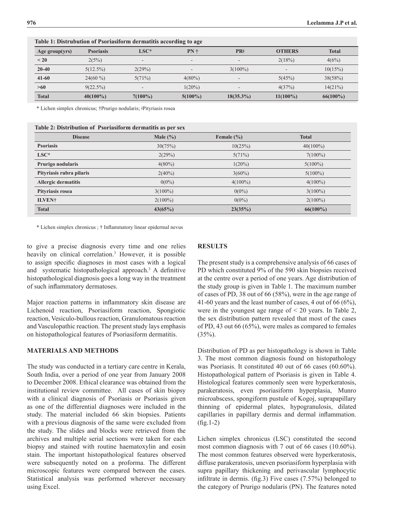| Age group(yrs) | <b>Psoriasis</b> | $LSC^*$    | $PN+$                    | PR <sup>#</sup>          | <b>OTHERS</b>            | <b>Total</b> |
|----------------|------------------|------------|--------------------------|--------------------------|--------------------------|--------------|
| < 20           | 2(5%)            | -          | $\overline{\phantom{a}}$ | $\overline{\phantom{a}}$ | 2(18%)                   | 4(6%)        |
| $20 - 40$      | $5(12.5\%)$      | 2(29%)     | $\overline{\phantom{a}}$ | $3(100\%)$               | $\overline{\phantom{a}}$ | 10(15%)      |
| $41 - 60$      | $24(60\%)$       | 5(71%)     | $4(80\%)$                | $\overline{\phantom{a}}$ | 5(45%)                   | 38(58%)      |
| >60            | $9(22.5\%)$      | -          | $1(20\%)$                | $\overline{\phantom{a}}$ | 4(37%)                   | 14(21%)      |
| <b>Total</b>   | $40(100\%)$      | $7(100\%)$ | $5(100\%)$               | $18(35.3\%)$             | $11(100\%)$              | $66(100\%)$  |

**Table 1: Distrubution of Psoriasiform dermatitis according to age**

\* Lichen simplex chronicus; †Prurigo nodularis; ǂPityriasis rosea

| <b>Disease</b>             | Male $(\% )$ | Female $(\% )$ | <b>Total</b> |  |
|----------------------------|--------------|----------------|--------------|--|
| <b>Psoriasis</b>           | 30(75%)      | 10(25%)        | $40(100\%)$  |  |
| $LSC^*$                    | 2(29%)       | 5(71%)         | $7(100\%)$   |  |
| Prurigo nodularis          | $4(80\%)$    | $1(20\%)$      | $5(100\%)$   |  |
| Pityriasis rubra pilaris   | $2(40\%)$    | $3(60\%)$      | $5(100\%)$   |  |
| <b>Allergic dermatitis</b> | $0(0\%)$     | $4(100\%)$     | $4(100\%)$   |  |
| Pityriasis rosea           | $3(100\%)$   | $0(0\%)$       | $3(100\%)$   |  |
| <b>ILVEN†</b>              | $2(100\%)$   | $0(0\%)$       | $2(100\%)$   |  |
| <b>Total</b>               | 43(65%)      | 23(35%)        | $66(100\%)$  |  |

\* Lichen simplex chronicus ; † Inflammatory linear epidermal nevus

to give a precise diagnosis every time and one relies heavily on clinical correlation.3 However, it is possible to assign specific diagnoses in most cases with a logical and systematic histopathological approach.<sup>3</sup> A definitive histopathological diagnosis goes a long way in the treatment of such inflammatory dermatoses.

Major reaction patterns in inflammatory skin disease are Lichenoid reaction, Psoriasiform reaction, Spongiotic reaction, Vesiculo-bullous reaction, Granulomatous reaction and Vasculopathic reaction. The present study lays emphasis on histopathological features of Psoriasiform dermatitis.

#### **MATERIALS AND METHODS**

The study was conducted in a tertiary care centre in Kerala, South India, over a period of one year from January 2008 to December 2008. Ethical clearance was obtained from the institutional review committee. All cases of skin biopsy with a clinical diagnosis of Psoriasis or Psoriasis given as one of the differential diagnoses were included in the study. The material included 66 skin biopsies. Patients with a previous diagnosis of the same were excluded from the study. The slides and blocks were retrieved from the archives and multiple serial sections were taken for each biopsy and stained with routine haematoxylin and eosin stain. The important histopathological features observed were subsequently noted on a proforma. The different microscopic features were compared between the cases. Statistical analysis was performed wherever necessary using Excel.

#### **RESULTS**

The present study is a comprehensive analysis of 66 cases of PD which constituted 9% of the 590 skin biopsies received at the centre over a period of one years. Age distribution of the study group is given in Table 1. The maximum number of cases of PD, 38 out of 66 (58%), were in the age range of 41-60 years and the least number of cases, 4 out of 66 (6%), were in the youngest age range of < 20 years. In Table 2, the sex distribution pattern revealed that most of the cases of PD, 43 out 66 (65%), were males as compared to females  $(35\%)$ .

Distribution of PD as per histopathology is shown in Table 3. The most common diagnosis found on histopathology was Psoriasis. It constituted 40 out of 66 cases (60.60%). Histopathological pattern of Psoriasis is given in Table 4. Histological features commonly seen were hyperkeratosis, parakeratosis, even psoriasiform hyperplasia, Munro microabscess, spongiform pustule of Kogoj, suprapapillary thinning of epidermal plates, hypogranulosis, dilated capillaries in papillary dermis and dermal inflammation. (fig.1-2)

Lichen simplex chronicus (LSC) constituted the second most common diagnosis with 7 out of 66 cases (10.60%). The most common features observed were hyperkeratosis, diffuse parakeratosis, uneven psoriasiform hyperplasia with supra papillary thickening and perivascular lymphocytic infiltrate in dermis. (fig.3) Five cases (7.57%) belonged to the category of Prurigo nodularis (PN). The features noted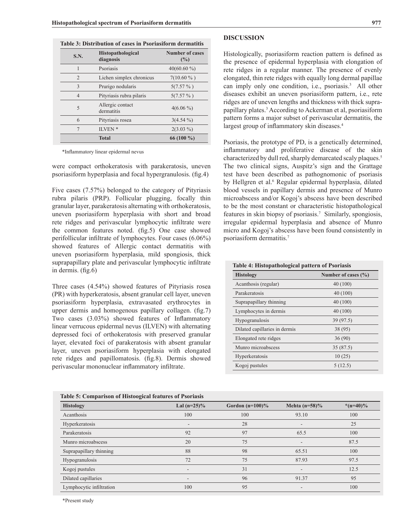| <b>S.N.</b>    | <b>Histopathological</b><br>diagnosis | <b>Number of cases</b><br>(%) |  |
|----------------|---------------------------------------|-------------------------------|--|
| 1              | Psoriasis                             | $40(60.60\%)$                 |  |
| $\overline{2}$ | Lichen simplex chronicus              | $7(10.60\,\%$ )               |  |
| 3              | Prurigo nodularis                     | $5(7.57\%)$                   |  |
| $\overline{4}$ | Pityriasis rubra pilaris              | $5(7.57\%)$                   |  |
| 5              | Allergic contact<br>dermatitis        | $4(6.06\%)$                   |  |
| 6              | Pityriasis rosea                      | $3(4.54\%)$                   |  |
| 7              | ILVEN <sup>*</sup>                    | $2(3.03\%)$                   |  |
|                | <b>Total</b>                          | 66 $(100\%$                   |  |

\*Inflammatory linear epidermal nevus

were compact orthokeratosis with parakeratosis, uneven psoriasiform hyperplasia and focal hypergranulosis. (fig.4)

Five cases (7.57%) belonged to the category of Pityriasis rubra pilaris (PRP). Follicular plugging, focally thin granular layer, parakeratosis alternating with orthokeratosis, uneven psoriasiform hyperplasia with short and broad rete ridges and perivascular lymphocytic infiltrate were the common features noted. (fig.5) One case showed perifollicular infiltrate of lymphocytes. Four cases (6.06%) showed features of Allergic contact dermatitis with uneven psoriasiform hyperplasia, mild spongiosis, thick suprapapillary plate and perivascular lymphocytic infiltrate in dermis. (fig.6)

Three cases (4.54%) showed features of Pityriasis rosea (PR) with hyperkeratosis, absent granular cell layer, uneven psoriasiform hyperplasia, extravasated erythrocytes in upper dermis and homogenous papillary collagen. (fig.7) Two cases (3.03%) showed features of Inflammatory linear verrucous epidermal nevus (ILVEN) with alternating depressed foci of orthokeratosis with preserved granular layer, elevated foci of parakeratosis with absent granular layer, uneven psoriasiform hyperplasia with elongated rete ridges and papillomatosis. (fig.8). Dermis showed perivascular mononuclear inflammatory infiltrate.

### **DISCUSSION**

Histologically, psoriasiform reaction pattern is defined as the presence of epidermal hyperplasia with elongation of rete ridges in a regular manner. The presence of evenly elongated, thin rete ridges with equally long dermal papillae can imply only one condition, i.e., psoriasis.<sup>3</sup> All other diseases exhibit an uneven psoriasiform pattern, i.e., rete ridges are of uneven lengths and thickness with thick suprapapillary plates.3 According to Ackerman et al, psoriasiform pattern forms a major subset of perivascular dermatitis, the largest group of inflammatory skin diseases.<sup>4</sup>

Psoriasis, the prototype of PD, is a genetically determined, inflammatory and proliferative disease of the skin characterized by dull red, sharply demarcated scaly plaques.<sup>5</sup> The two clinical signs, Auspitz's sign and the Grattage test have been described as pathognomonic of psoriasis by Hellgren et al.<sup>6</sup> Regular epidermal hyperplasia, dilated blood vessels in papillary dermis and presence of Munro microabscess and/or Kogoj's abscess have been described to be the most constant or characteristic histopathological features in skin biopsy of psoriasis.<sup>7</sup> Similarly, spongiosis, irregular epidermal hyperplasia and absence of Munro micro and Kogoj's abscess have been found consistently in psoriasiform dermatitis.7

**Table 4: Histopathological pattern of Psoriasis**

| <b>Histology</b>              | Number of cases $(\% )$ |
|-------------------------------|-------------------------|
| Acanthosis (regular)          | 40(100)                 |
| Parakeratosis                 | 40(100)                 |
| Suprapapillary thinning       | 40(100)                 |
| Lymphocytes in dermis         | 40(100)                 |
| <b>Hypogranulosis</b>         | 39 (97.5)               |
| Dilated capillaries in dermis | 38 (95)                 |
| Elongated rete ridges         | 36(90)                  |
| Munro microabscess            | 35(87.5)                |
| Hyperkeratosis                | 10(25)                  |
| Kogoj pustules                | 5(12.5)                 |

| Table 5: Comparison of Histoogical features of Psoriasis |  |  |  |  |
|----------------------------------------------------------|--|--|--|--|
|----------------------------------------------------------|--|--|--|--|

| <b>Histology</b>         | Lal $(n=25)\%$           | Gordon $(n=100)\%$ | Mehta $(n=58)\%$         | *(n=40)% |
|--------------------------|--------------------------|--------------------|--------------------------|----------|
| Acanthosis               | 100                      | 100                | 93.10                    | 100      |
| Hyperkeratosis           | $\overline{\phantom{a}}$ | 28                 | $\overline{\phantom{a}}$ | 25       |
| Parakeratosis            | 92                       | 97                 | 65.5                     | 100      |
| Munro microabscess       | 20                       | 75                 | ٠                        | 87.5     |
| Suprapapillary thinning  | 88                       | 98                 | 65.51                    | 100      |
| Hypogranulosis           | 72                       | 75                 | 87.93                    | 97.5     |
| Kogoj pustules           | -                        | 31                 | $\overline{\phantom{a}}$ | 12.5     |
| Dilated capillaries      |                          | 96                 | 91.37                    | 95       |
| Lymphocytic infiltration | 100                      | 95                 | $\overline{\phantom{a}}$ | 100      |

\*Present study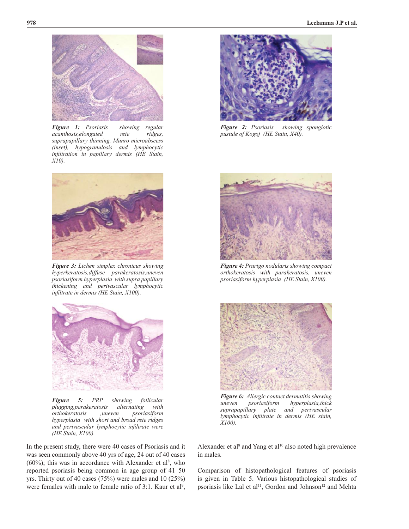

*Figure 1: Psoriasis showing regular acanthosis,elongated rete ridges, suprapapillary thinning, Munro microabscess (inset), hypogranulosis and lymphocytic infiltration in papillary dermis (HE Stain, X10).*



*Figure 3: Lichen simplex chronicus showing hyperkeratosis,diffuse parakeratosis,uneven psoriasiform hyperplasia with supra papillary thickening and perivascular lymphocytic infiltrate in dermis (HE Stain, X100).*



*Figure 5: PRP showing follicular plugging,parakeratosis alternating with orthokeratosis ,uneven psoriasiform hyperplasia with short and broad rete ridges and perivascular lymphocytic infiltrate were (HE Stain, X100).*

In the present study, there were 40 cases of Psoriasis and it was seen commonly above 40 yrs of age, 24 out of 40 cases  $(60\%)$ ; this was in accordance with Alexander et al<sup>8</sup>, who reported psoriasis being common in age group of 41–50 yrs. Thirty out of 40 cases (75%) were males and 10 (25%) were females with male to female ratio of  $3:1$ . Kaur et al<sup>9</sup>,



*Figure 2: Psoriasis showing spongiotic pustule of Kogoj (HE Stain, X40).*



*Figure 4: Prurigo nodularis showing compact orthokeratosis with parakeratosis, uneven psoriasiform hyperplasia (HE Stain, X100).*



*Figure 6: Allergic contact dermatitis showing uneven psoriasiform hyperplasia,thick suprapapillary plate and perivascular lymphocytic infiltrate in dermis (HE stain, X100).* 

Alexander et al<sup>8</sup> and Yang et al<sup>10</sup> also noted high prevalence in males.

Comparison of histopathological features of psoriasis is given in Table 5. Various histopathological studies of psoriasis like Lal et al<sup>11</sup>, Gordon and Johnson<sup>12</sup> and Mehta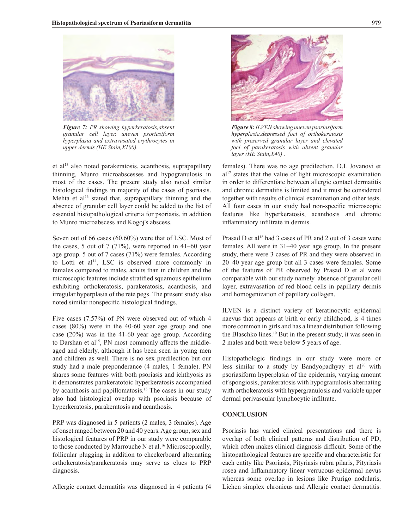

*Figure 7: PR showing hyperkeratosis,absent granular cell layer, uneven psoriasiform hyperplasia and extravasated erythrocytes in upper dermis (HE Stain,X100).* 

et al<sup>13</sup> also noted parakeratosis, acanthosis, suprapapillary thinning, Munro microabscesses and hypogranulosis in most of the cases. The present study also noted similar histological findings in majority of the cases of psoriasis. Mehta et al<sup>13</sup> stated that, suprapapillary thinning and the absence of granular cell layer could be added to the list of essential histopathological criteria for psoriasis, in addition to Munro microabscess and Kogoj's abscess.

Seven out of 66 cases (60.60%) were that of LSC. Most of the cases, 5 out of 7  $(71\%)$ , were reported in 41–60 year age group. 5 out of 7 cases (71%) were females. According to Lotti et  $a^{14}$ , LSC is observed more commonly in females compared to males, adults than in children and the microscopic features include stratified squamous epithelium exhibiting orthokeratosis, parakeratosis, acanthosis, and irregular hyperplasia of the rete pegs. The present study also noted similar nonspecific histological findings.

Five cases (7.57%) of PN were observed out of which 4 cases (80%) were in the 40-60 year age group and one case (20%) was in the 41-60 year age group. According to Darshan et al<sup>15</sup>, PN most commonly affects the middleaged and elderly, although it has been seen in young men and children as well. There is no sex predilection but our study had a male preponderance (4 males, 1 female). PN shares some features with both psoriasis and ichthyosis as it demonstrates parakeratotoic hyperkeratosis accompanied by acanthosis and papillomatosis.<sup>15</sup> The cases in our study also had histological overlap with psoriasis because of hyperkeratosis, parakeratosis and acanthosis.

PRP was diagnosed in 5 patients (2 males, 3 females). Age of onset ranged between 20 and 40 years. Age group, sex and histological features of PRP in our study were comparable to those conducted by Marrouche N et al.<sup>16</sup> Microscopically, follicular plugging in addition to checkerboard alternating orthokeratosis/parakeratosis may serve as clues to PRP diagnosis.

Allergic contact dermatitis was diagnosed in 4 patients (4



*Figure 8: ILVEN showing uneven psoriasiform hyperplasia,depressed foci of orthokeratosis with preserved granular layer and elevated foci of parakeratosis with absent granular layer (HE Stain,X40) .*

females). There was no age predilection. D.L Jovanovi et  $al<sup>17</sup>$  states that the value of light microscopic examination in order to differentiate between allergic contact dermatitis and chronic dermatitis is limited and it must be considered together with results of clinical examination and other tests. All four cases in our study had non-specific microscopic features like hyperkeratosis, acanthosis and chronic inflammatory infiltrate in dermis.

Prasad D et al<sup>18</sup> had 3 cases of PR and 2 out of 3 cases were females. All were in 31–40 year age group. In the present study, there were 3 cases of PR and they were observed in 20–40 year age group but all 3 cases were females. Some of the features of PR observed by Prasad D et al were comparable with our study namely absence of granular cell layer, extravasation of red blood cells in papillary dermis and homogenization of papillary collagen.

ILVEN is a distinct variety of keratinocytic epidermal naevus that appears at birth or early childhood, is 4 times more common in girls and has a linear distribution following the Blaschko lines.19 But in the present study, it was seen in 2 males and both were below 5 years of age.

Histopathologic findings in our study were more or less similar to a study by Bandyopadhyay et  $al^{20}$  with psoriasiform hyperplasia of the epidermis, varying amount of spongiosis, parakeratosis with hypogranulosis alternating with orthokeratosis with hypergranulosis and variable upper dermal perivascular lymphocytic infiltrate.

## **CONCLUSION**

Psoriasis has varied clinical presentations and there is overlap of both clinical patterns and distribution of PD, which often makes clinical diagnosis difficult. Some of the histopathological features are specific and characteristic for each entity like Psoriasis, Pityriasis rubra pilaris, Pityriasis rosea and Inflammatory linear verrucous epidermal nevus whereas some overlap in lesions like Prurigo nodularis, Lichen simplex chronicus and Allergic contact dermatitis.